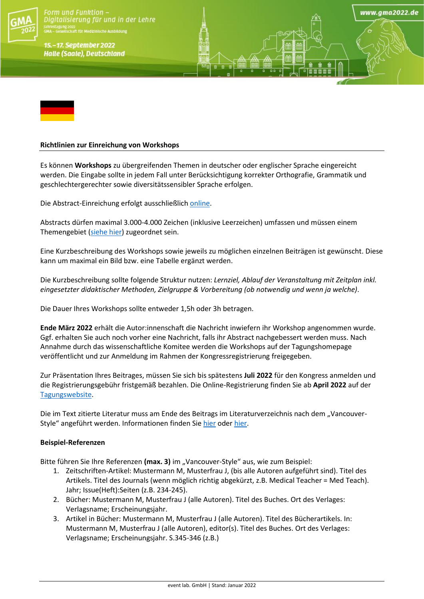

Form und Funktion -Digitalisierung für und in der Lehre

15.-17. September 2022 **Halle (Saale), Deutschland** 



## **Richtlinien zur Einreichung von Workshops**

Es können **Workshops** zu übergreifenden Themen in deutscher oder englischer Sprache eingereicht werden. Die Eingabe sollte in jedem Fall unter Berücksichtigung korrekter Orthografie, Grammatik und geschlechtergerechter sowie diversitätssensibler Sprache erfolgen.

www.ama2022.de

Die Abstract-Einreichung erfolgt ausschließlich [online.](https://eventclass.org/contxt_gma2022)

Abstracts dürfen maximal 3.000-4.000 Zeichen (inklusive Leerzeichen) umfassen und müssen einem Themengebiet [\(siehe hier\)](https://gma2022.de/programm/schwerpunkte/) zugeordnet sein.

Eine Kurzbeschreibung des Workshops sowie jeweils zu möglichen einzelnen Beiträgen ist gewünscht. Diese kann um maximal ein Bild bzw. eine Tabelle ergänzt werden.

Die Kurzbeschreibung sollte folgende Struktur nutzen: *Lernziel, Ablauf der Veranstaltung mit Zeitplan inkl. eingesetzter didaktischer Methoden, Zielgruppe & Vorbereitung (ob notwendig und wenn ja welche)*.

Die Dauer Ihres Workshops sollte entweder 1,5h oder 3h betragen.

**Ende März 2022** erhält die Autor:innenschaft die Nachricht inwiefern ihr Workshop angenommen wurde. Ggf. erhalten Sie auch noch vorher eine Nachricht, falls ihr Abstract nachgebessert werden muss. Nach Annahme durch das wissenschaftliche Komitee werden die Workshops auf der Tagungshomepage veröffentlicht und zur Anmeldung im Rahmen der Kongressregistrierung freigegeben.

Zur Präsentation Ihres Beitrages, müssen Sie sich bis spätestens **Juli 2022** für den Kongress anmelden und die Registrierungsgebühr fristgemäß bezahlen. Die Online-Registrierung finden Sie ab **April 2022** auf der [Tagungswebsite.](https://gma2022.de/anmeldung/)

Die im Text zitierte Literatur muss am Ende des Beitrags im Literaturverzeichnis nach dem "Vancouver-Style" angeführt werden. Informationen finden Si[e hier](https://www.nlm.nih.gov/bsd/uniform_requirements.html) oder [hier.](https://guides.lib.monash.edu/citing-referencing/vancouver)

# **Beispiel-Referenzen**

Bitte führen Sie Ihre Referenzen (max. 3) im "Vancouver-Style" aus, wie zum Beispiel:

- 1. Zeitschriften-Artikel: Mustermann M, Musterfrau J, (bis alle Autoren aufgeführt sind). Titel des Artikels. Titel des Journals (wenn möglich richtig abgekürzt, z.B. Medical Teacher = Med Teach). Jahr; Issue(Heft):Seiten (z.B. 234-245).
- 2. Bücher: Mustermann M, Musterfrau J (alle Autoren). Titel des Buches. Ort des Verlages: Verlagsname; Erscheinungsjahr.
- 3. Artikel in Bücher: Mustermann M, Musterfrau J (alle Autoren). Titel des Bücherartikels. In: Mustermann M, Musterfrau J (alle Autoren), editor(s). Titel des Buches. Ort des Verlages: Verlagsname; Erscheinungsjahr. S.345-346 (z.B.)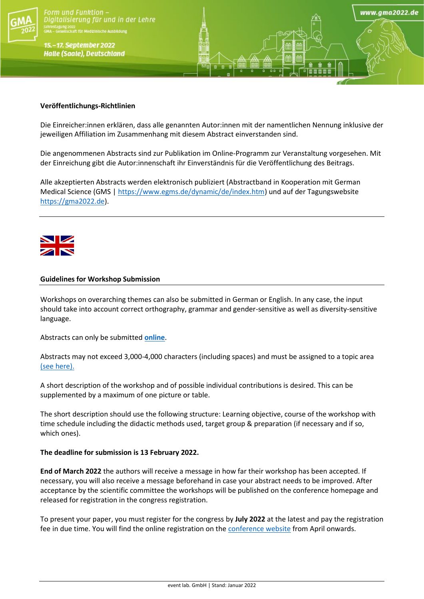

Form und Funktion -Digitalisierung für und in der Lehre

15.-17. September 2022 **Halle (Saale), Deutschland** 

### **Veröffentlichungs-Richtlinien**

Die Einreicher:innen erklären, dass alle genannten Autor:innen mit der namentlichen Nennung inklusive der jeweiligen Affiliation im Zusammenhang mit diesem Abstract einverstanden sind.

www.ama2022.de

Die angenommenen Abstracts sind zur Publikation im Online-Programm zur Veranstaltung vorgesehen. Mit der Einreichung gibt die Autor:innenschaft ihr Einverständnis für die Veröffentlichung des Beitrags.

Alle akzeptierten Abstracts werden elektronisch publiziert (Abstractband in Kooperation mit German Medical Science (GMS [| https://www.egms.de/dynamic/de/index.htm\)](https://www.egms.de/dynamic/de/index.htm) und auf der Tagungswebsite [https://gma2022.de\)](https://gma2022.de/).



#### **Guidelines for Workshop Submission**

Workshops on overarching themes can also be submitted in German or English. In any case, the input should take into account correct orthography, grammar and gender-sensitive as well as diversity-sensitive language.

Abstracts can only be submitted **[online](https://eventclass.org/contxt_gma2022)**.

Abstracts may not exceed 3,000-4,000 characters (including spaces) and must be assigned to a topic area [\(see here\).](https://gma2022.de/programm/schwerpunkte/)

A short description of the workshop and of possible individual contributions is desired. This can be supplemented by a maximum of one picture or table.

The short description should use the following structure: Learning objective, course of the workshop with time schedule including the didactic methods used, target group & preparation (if necessary and if so, which ones).

#### **The deadline for submission is 13 February 2022.**

**End of March 2022** the authors will receive a message in how far their workshop has been accepted. If necessary, you will also receive a message beforehand in case your abstract needs to be improved. After acceptance by the scientific committee the workshops will be published on the conference homepage and released for registration in the congress registration.

To present your paper, you must register for the congress by **July 2022** at the latest and pay the registration fee in due time. You will find the online registration on the [conference website](https://gma2022.de/anmeldung/) from April onwards.